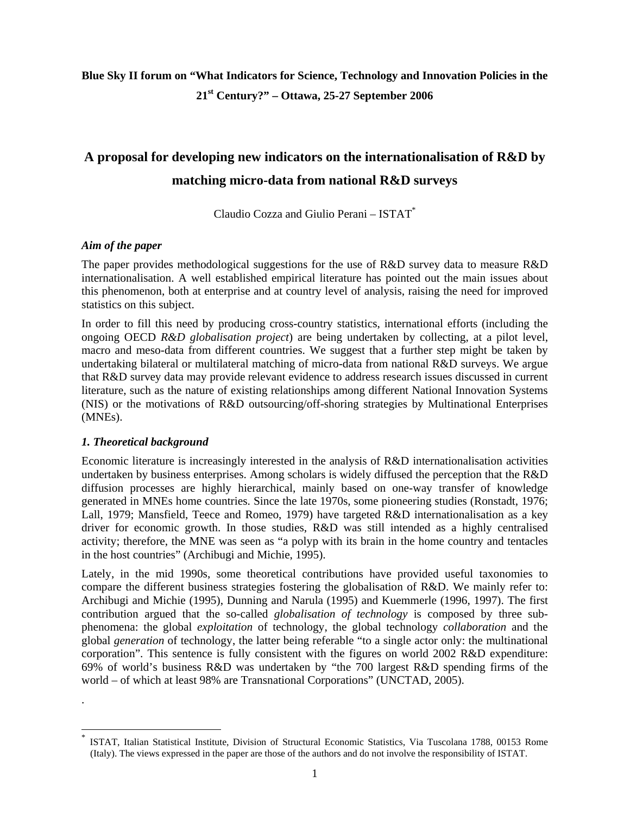# **Blue Sky II forum on "What Indicators for Science, Technology and Innovation Policies in the 21st Century?" – Ottawa, 25-27 September 2006**

# **A proposal for developing new indicators on the internationalisation of R&D by matching micro-data from national R&D surveys**

Claudio Cozza and Giulio Perani – ISTAT\*

#### *Aim of the paper*

The paper provides methodological suggestions for the use of R&D survey data to measure R&D internationalisation. A well established empirical literature has pointed out the main issues about this phenomenon, both at enterprise and at country level of analysis, raising the need for improved statistics on this subject.

In order to fill this need by producing cross-country statistics, international efforts (including the ongoing OECD *R&D globalisation project*) are being undertaken by collecting, at a pilot level, macro and meso-data from different countries. We suggest that a further step might be taken by undertaking bilateral or multilateral matching of micro-data from national R&D surveys. We argue that R&D survey data may provide relevant evidence to address research issues discussed in current literature, such as the nature of existing relationships among different National Innovation Systems (NIS) or the motivations of R&D outsourcing/off-shoring strategies by Multinational Enterprises (MNEs).

## *1. Theoretical background*

.

 $\overline{a}$ 

Economic literature is increasingly interested in the analysis of R&D internationalisation activities undertaken by business enterprises. Among scholars is widely diffused the perception that the R&D diffusion processes are highly hierarchical, mainly based on one-way transfer of knowledge generated in MNEs home countries. Since the late 1970s, some pioneering studies (Ronstadt, 1976; Lall, 1979; Mansfield, Teece and Romeo, 1979) have targeted R&D internationalisation as a key driver for economic growth. In those studies, R&D was still intended as a highly centralised activity; therefore, the MNE was seen as "a polyp with its brain in the home country and tentacles in the host countries" (Archibugi and Michie, 1995).

Lately, in the mid 1990s, some theoretical contributions have provided useful taxonomies to compare the different business strategies fostering the globalisation of R&D. We mainly refer to: Archibugi and Michie (1995), Dunning and Narula (1995) and Kuemmerle (1996, 1997). The first contribution argued that the so-called *globalisation of technology* is composed by three subphenomena: the global *exploitation* of technology, the global technology *collaboration* and the global *generation* of technology, the latter being referable "to a single actor only: the multinational corporation". This sentence is fully consistent with the figures on world 2002 R&D expenditure: 69% of world's business R&D was undertaken by "the 700 largest R&D spending firms of the world – of which at least 98% are Transnational Corporations" (UNCTAD, 2005).

<sup>\*</sup> ISTAT, Italian Statistical Institute, Division of Structural Economic Statistics, Via Tuscolana 1788, 00153 Rome (Italy). The views expressed in the paper are those of the authors and do not involve the responsibility of ISTAT.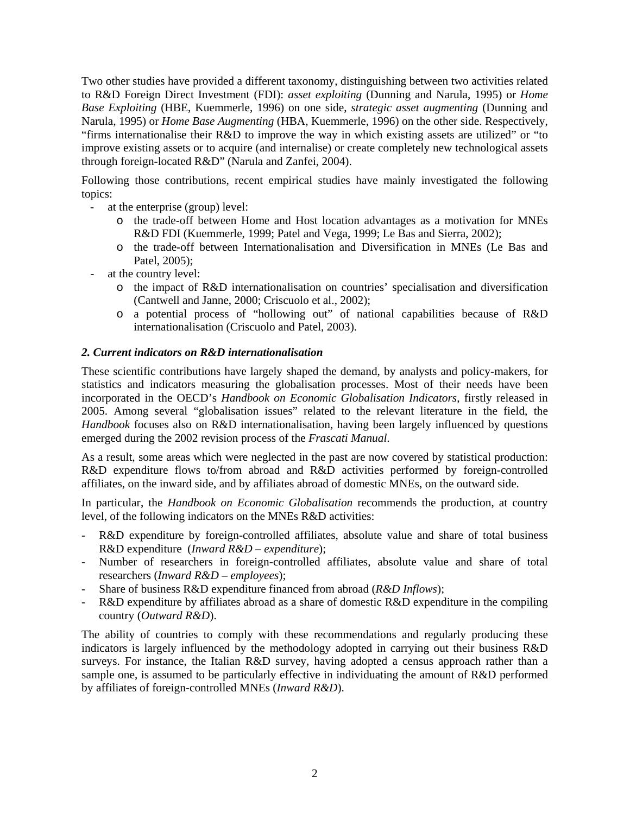Two other studies have provided a different taxonomy, distinguishing between two activities related to R&D Foreign Direct Investment (FDI): *asset exploiting* (Dunning and Narula, 1995) or *Home Base Exploiting* (HBE, Kuemmerle, 1996) on one side, *strategic asset augmenting* (Dunning and Narula, 1995) or *Home Base Augmenting* (HBA, Kuemmerle, 1996) on the other side. Respectively, "firms internationalise their R&D to improve the way in which existing assets are utilized" or "to improve existing assets or to acquire (and internalise) or create completely new technological assets through foreign-located R&D" (Narula and Zanfei, 2004).

Following those contributions, recent empirical studies have mainly investigated the following topics:

- at the enterprise (group) level:
	- o the trade-off between Home and Host location advantages as a motivation for MNEs R&D FDI (Kuemmerle, 1999; Patel and Vega, 1999; Le Bas and Sierra, 2002);
	- o the trade-off between Internationalisation and Diversification in MNEs (Le Bas and Patel, 2005);
- at the country level:
	- o the impact of R&D internationalisation on countries' specialisation and diversification (Cantwell and Janne, 2000; Criscuolo et al., 2002);
	- o a potential process of "hollowing out" of national capabilities because of R&D internationalisation (Criscuolo and Patel, 2003).

#### *2. Current indicators on R&D internationalisation*

These scientific contributions have largely shaped the demand, by analysts and policy-makers, for statistics and indicators measuring the globalisation processes. Most of their needs have been incorporated in the OECD's *Handbook on Economic Globalisation Indicators*, firstly released in 2005. Among several "globalisation issues" related to the relevant literature in the field, the *Handbook* focuses also on R&D internationalisation, having been largely influenced by questions emerged during the 2002 revision process of the *Frascati Manual*.

As a result, some areas which were neglected in the past are now covered by statistical production: R&D expenditure flows to/from abroad and R&D activities performed by foreign-controlled affiliates, on the inward side, and by affiliates abroad of domestic MNEs, on the outward side.

In particular, the *Handbook on Economic Globalisation* recommends the production, at country level, of the following indicators on the MNEs R&D activities:

- R&D expenditure by foreign-controlled affiliates, absolute value and share of total business R&D expenditure (*Inward R&D – expenditure*);
- Number of researchers in foreign-controlled affiliates, absolute value and share of total researchers (*Inward R&D – employees*);
- Share of business R&D expenditure financed from abroad (*R&D Inflows*);
- R&D expenditure by affiliates abroad as a share of domestic R&D expenditure in the compiling country (*Outward R&D*).

The ability of countries to comply with these recommendations and regularly producing these indicators is largely influenced by the methodology adopted in carrying out their business R&D surveys. For instance, the Italian R&D survey, having adopted a census approach rather than a sample one, is assumed to be particularly effective in individuating the amount of R&D performed by affiliates of foreign-controlled MNEs (*Inward R&D*).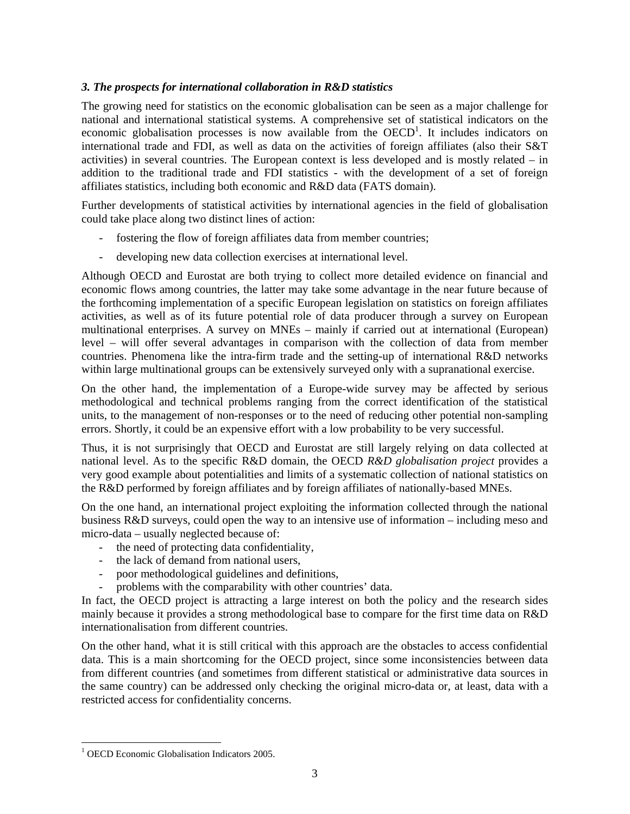#### *3. The prospects for international collaboration in R&D statistics*

The growing need for statistics on the economic globalisation can be seen as a major challenge for national and international statistical systems. A comprehensive set of statistical indicators on the economic globalisation processes is now available from the  $OECD<sup>1</sup>$ . It includes indicators on international trade and FDI, as well as data on the activities of foreign affiliates (also their S&T activities) in several countries. The European context is less developed and is mostly related – in addition to the traditional trade and FDI statistics - with the development of a set of foreign affiliates statistics, including both economic and R&D data (FATS domain).

Further developments of statistical activities by international agencies in the field of globalisation could take place along two distinct lines of action:

- fostering the flow of foreign affiliates data from member countries;
- developing new data collection exercises at international level.

Although OECD and Eurostat are both trying to collect more detailed evidence on financial and economic flows among countries, the latter may take some advantage in the near future because of the forthcoming implementation of a specific European legislation on statistics on foreign affiliates activities, as well as of its future potential role of data producer through a survey on European multinational enterprises. A survey on MNEs – mainly if carried out at international (European) level – will offer several advantages in comparison with the collection of data from member countries. Phenomena like the intra-firm trade and the setting-up of international R&D networks within large multinational groups can be extensively surveyed only with a supranational exercise.

On the other hand, the implementation of a Europe-wide survey may be affected by serious methodological and technical problems ranging from the correct identification of the statistical units, to the management of non-responses or to the need of reducing other potential non-sampling errors. Shortly, it could be an expensive effort with a low probability to be very successful.

Thus, it is not surprisingly that OECD and Eurostat are still largely relying on data collected at national level. As to the specific R&D domain, the OECD *R&D globalisation project* provides a very good example about potentialities and limits of a systematic collection of national statistics on the R&D performed by foreign affiliates and by foreign affiliates of nationally-based MNEs.

On the one hand, an international project exploiting the information collected through the national business R&D surveys, could open the way to an intensive use of information – including meso and micro-data – usually neglected because of:

- the need of protecting data confidentiality,
- the lack of demand from national users,
- poor methodological guidelines and definitions,
- problems with the comparability with other countries' data.

In fact, the OECD project is attracting a large interest on both the policy and the research sides mainly because it provides a strong methodological base to compare for the first time data on R&D internationalisation from different countries.

On the other hand, what it is still critical with this approach are the obstacles to access confidential data. This is a main shortcoming for the OECD project, since some inconsistencies between data from different countries (and sometimes from different statistical or administrative data sources in the same country) can be addressed only checking the original micro-data or, at least, data with a restricted access for confidentiality concerns.

 $\overline{a}$ 

<sup>&</sup>lt;sup>1</sup> OECD Economic Globalisation Indicators 2005.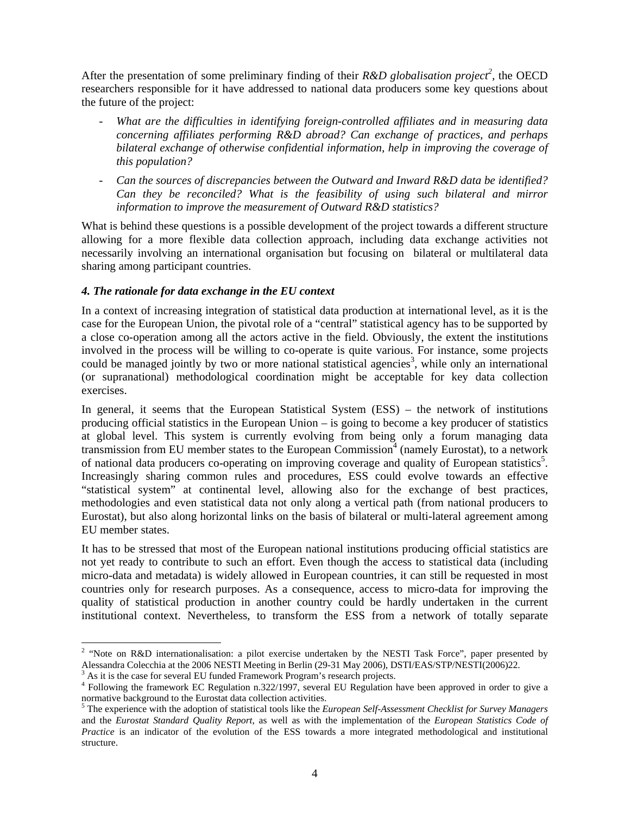After the presentation of some preliminary finding of their *R&D globalisation project*<sup>2</sup>, the OECD researchers responsible for it have addressed to national data producers some key questions about the future of the project:

- *What are the difficulties in identifying foreign-controlled affiliates and in measuring data concerning affiliates performing R&D abroad? Can exchange of practices, and perhaps bilateral exchange of otherwise confidential information, help in improving the coverage of this population?*
- *Can the sources of discrepancies between the Outward and Inward R&D data be identified? Can they be reconciled? What is the feasibility of using such bilateral and mirror information to improve the measurement of Outward R&D statistics?*

What is behind these questions is a possible development of the project towards a different structure allowing for a more flexible data collection approach, including data exchange activities not necessarily involving an international organisation but focusing on bilateral or multilateral data sharing among participant countries.

## *4. The rationale for data exchange in the EU context*

In a context of increasing integration of statistical data production at international level, as it is the case for the European Union, the pivotal role of a "central" statistical agency has to be supported by a close co-operation among all the actors active in the field. Obviously, the extent the institutions involved in the process will be willing to co-operate is quite various. For instance, some projects could be managed jointly by two or more national statistical agencies<sup>3</sup>, while only an international (or supranational) methodological coordination might be acceptable for key data collection exercises.

In general, it seems that the European Statistical System (ESS) – the network of institutions producing official statistics in the European Union – is going to become a key producer of statistics at global level. This system is currently evolving from being only a forum managing data transmission from EU member states to the European Commission<sup>4</sup> (namely Eurostat), to a network of national data producers co-operating on improving coverage and quality of European statistics<sup>5</sup>. Increasingly sharing common rules and procedures, ESS could evolve towards an effective "statistical system" at continental level, allowing also for the exchange of best practices, methodologies and even statistical data not only along a vertical path (from national producers to Eurostat), but also along horizontal links on the basis of bilateral or multi-lateral agreement among EU member states.

It has to be stressed that most of the European national institutions producing official statistics are not yet ready to contribute to such an effort. Even though the access to statistical data (including micro-data and metadata) is widely allowed in European countries, it can still be requested in most countries only for research purposes. As a consequence, access to micro-data for improving the quality of statistical production in another country could be hardly undertaken in the current institutional context. Nevertheless, to transform the ESS from a network of totally separate

 $\overline{a}$ 

<sup>&</sup>lt;sup>2</sup> "Note on R&D internationalisation: a pilot exercise undertaken by the NESTI Task Force", paper presented by Alessandra Colecchia at the 2006 NESTI Meeting in Berlin (29-31 May 2006), DSTI/EAS/STP/NESTI(2006)22.

 $3$  As it is the case for several EU funded Framework Program's research projects.

<sup>&</sup>lt;sup>4</sup> Following the framework EC Regulation n.322/1997, several EU Regulation have been approved in order to give a normative background to the Eurostat data collection activities.

<sup>5</sup> The experience with the adoption of statistical tools like the *European Self-Assessment Checklist for Survey Managers* and the *Eurostat Standard Quality Report*, as well as with the implementation of the *European Statistics Code of Practice* is an indicator of the evolution of the ESS towards a more integrated methodological and institutional structure.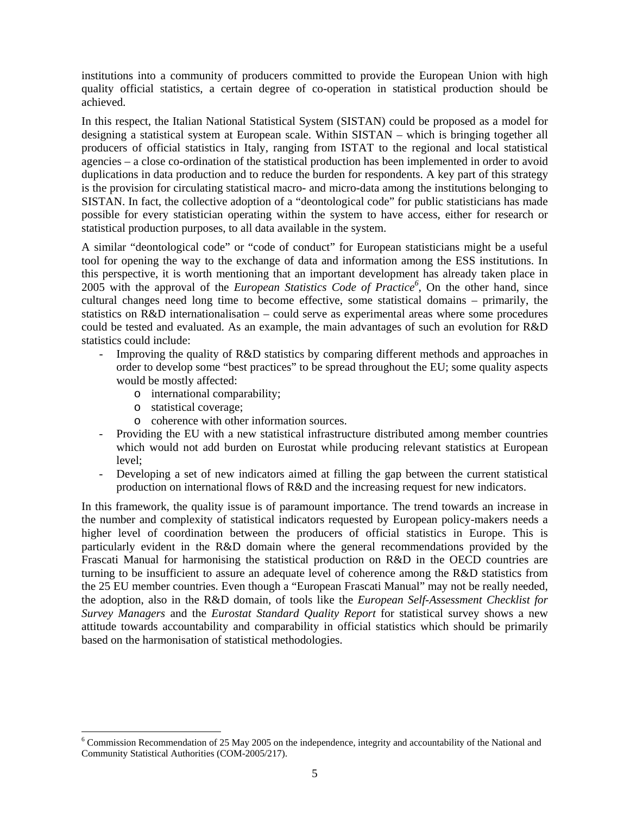institutions into a community of producers committed to provide the European Union with high quality official statistics, a certain degree of co-operation in statistical production should be achieved.

In this respect, the Italian National Statistical System (SISTAN) could be proposed as a model for designing a statistical system at European scale. Within SISTAN – which is bringing together all producers of official statistics in Italy, ranging from ISTAT to the regional and local statistical agencies – a close co-ordination of the statistical production has been implemented in order to avoid duplications in data production and to reduce the burden for respondents. A key part of this strategy is the provision for circulating statistical macro- and micro-data among the institutions belonging to SISTAN. In fact, the collective adoption of a "deontological code" for public statisticians has made possible for every statistician operating within the system to have access, either for research or statistical production purposes, to all data available in the system.

A similar "deontological code" or "code of conduct" for European statisticians might be a useful tool for opening the way to the exchange of data and information among the ESS institutions. In this perspective, it is worth mentioning that an important development has already taken place in 2005 with the approval of the *European Statistics Code of Practice<sup>6</sup>* , On the other hand, since cultural changes need long time to become effective, some statistical domains – primarily, the statistics on R&D internationalisation – could serve as experimental areas where some procedures could be tested and evaluated. As an example, the main advantages of such an evolution for R&D statistics could include:

- Improving the quality of R&D statistics by comparing different methods and approaches in order to develop some "best practices" to be spread throughout the EU; some quality aspects would be mostly affected:
	- o international comparability;
	- o statistical coverage;

 $\overline{a}$ 

- o coherence with other information sources.
- Providing the EU with a new statistical infrastructure distributed among member countries which would not add burden on Eurostat while producing relevant statistics at European level;
- Developing a set of new indicators aimed at filling the gap between the current statistical production on international flows of R&D and the increasing request for new indicators.

In this framework, the quality issue is of paramount importance. The trend towards an increase in the number and complexity of statistical indicators requested by European policy-makers needs a higher level of coordination between the producers of official statistics in Europe. This is particularly evident in the R&D domain where the general recommendations provided by the Frascati Manual for harmonising the statistical production on R&D in the OECD countries are turning to be insufficient to assure an adequate level of coherence among the R&D statistics from the 25 EU member countries. Even though a "European Frascati Manual" may not be really needed, the adoption, also in the R&D domain, of tools like the *European Self-Assessment Checklist for Survey Managers* and the *Eurostat Standard Quality Report* for statistical survey shows a new attitude towards accountability and comparability in official statistics which should be primarily based on the harmonisation of statistical methodologies.

<sup>&</sup>lt;sup>6</sup> Commission Recommendation of 25 May 2005 on the independence, integrity and accountability of the National and Community Statistical Authorities (COM-2005/217).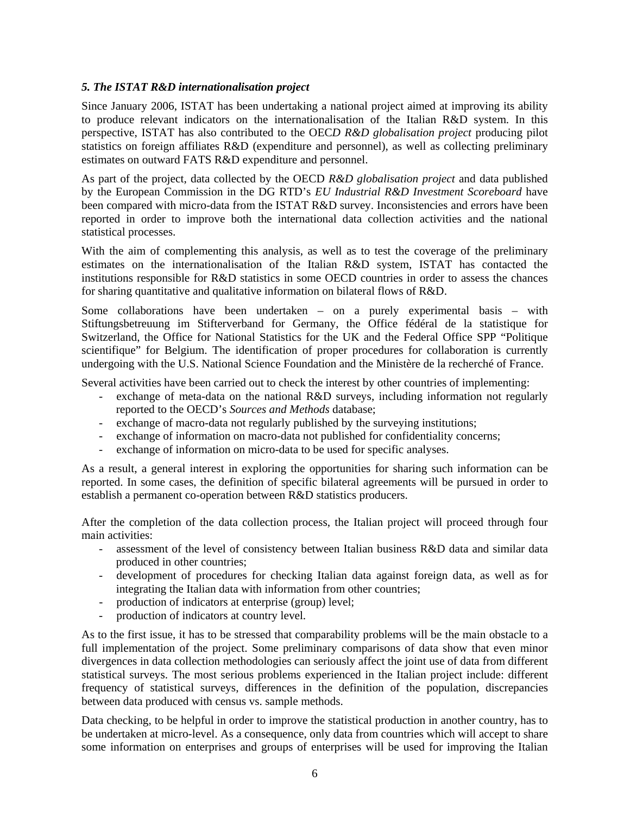#### *5. The ISTAT R&D internationalisation project*

Since January 2006, ISTAT has been undertaking a national project aimed at improving its ability to produce relevant indicators on the internationalisation of the Italian R&D system. In this perspective, ISTAT has also contributed to the OEC*D R&D globalisation project* producing pilot statistics on foreign affiliates R&D (expenditure and personnel), as well as collecting preliminary estimates on outward FATS R&D expenditure and personnel.

As part of the project, data collected by the OECD *R&D globalisation project* and data published by the European Commission in the DG RTD's *EU Industrial R&D Investment Scoreboard* have been compared with micro-data from the ISTAT R&D survey. Inconsistencies and errors have been reported in order to improve both the international data collection activities and the national statistical processes.

With the aim of complementing this analysis, as well as to test the coverage of the preliminary estimates on the internationalisation of the Italian R&D system, ISTAT has contacted the institutions responsible for R&D statistics in some OECD countries in order to assess the chances for sharing quantitative and qualitative information on bilateral flows of R&D.

Some collaborations have been undertaken – on a purely experimental basis – with Stiftungsbetreuung im Stifterverband for Germany, the Office fédéral de la statistique for Switzerland, the Office for National Statistics for the UK and the Federal Office SPP "Politique scientifique" for Belgium. The identification of proper procedures for collaboration is currently undergoing with the U.S. National Science Foundation and the Ministère de la recherché of France.

Several activities have been carried out to check the interest by other countries of implementing:

- exchange of meta-data on the national R&D surveys, including information not regularly reported to the OECD's *Sources and Methods* database;
- exchange of macro-data not regularly published by the surveying institutions;
- exchange of information on macro-data not published for confidentiality concerns;
- exchange of information on micro-data to be used for specific analyses.

As a result, a general interest in exploring the opportunities for sharing such information can be reported. In some cases, the definition of specific bilateral agreements will be pursued in order to establish a permanent co-operation between R&D statistics producers.

After the completion of the data collection process, the Italian project will proceed through four main activities:

- assessment of the level of consistency between Italian business R&D data and similar data produced in other countries;
- development of procedures for checking Italian data against foreign data, as well as for integrating the Italian data with information from other countries;
- production of indicators at enterprise (group) level;
- production of indicators at country level.

As to the first issue, it has to be stressed that comparability problems will be the main obstacle to a full implementation of the project. Some preliminary comparisons of data show that even minor divergences in data collection methodologies can seriously affect the joint use of data from different statistical surveys. The most serious problems experienced in the Italian project include: different frequency of statistical surveys, differences in the definition of the population, discrepancies between data produced with census vs. sample methods.

Data checking, to be helpful in order to improve the statistical production in another country, has to be undertaken at micro-level. As a consequence, only data from countries which will accept to share some information on enterprises and groups of enterprises will be used for improving the Italian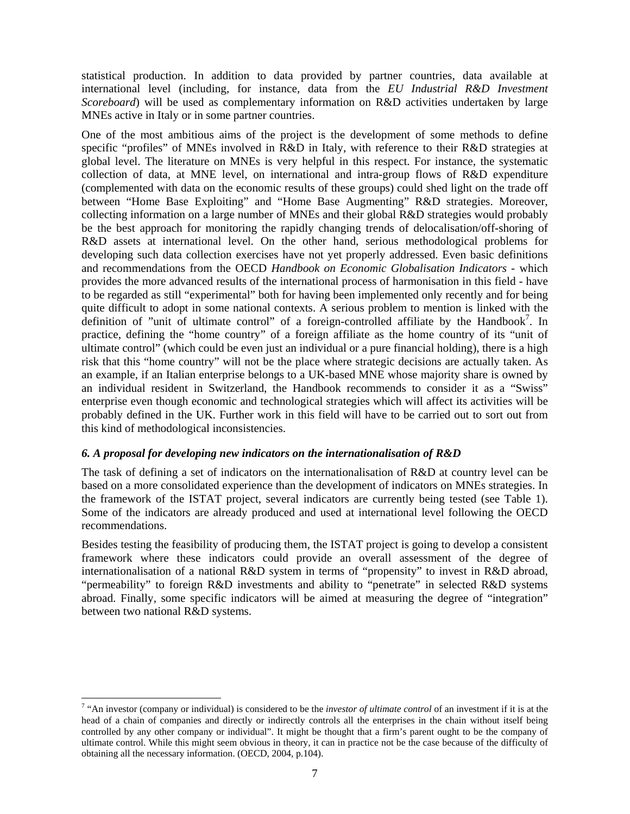statistical production. In addition to data provided by partner countries, data available at international level (including, for instance, data from the *EU Industrial R&D Investment Scoreboard*) will be used as complementary information on R&D activities undertaken by large MNEs active in Italy or in some partner countries.

One of the most ambitious aims of the project is the development of some methods to define specific "profiles" of MNEs involved in R&D in Italy, with reference to their R&D strategies at global level. The literature on MNEs is very helpful in this respect. For instance, the systematic collection of data, at MNE level, on international and intra-group flows of R&D expenditure (complemented with data on the economic results of these groups) could shed light on the trade off between "Home Base Exploiting" and "Home Base Augmenting" R&D strategies. Moreover, collecting information on a large number of MNEs and their global R&D strategies would probably be the best approach for monitoring the rapidly changing trends of delocalisation/off-shoring of R&D assets at international level. On the other hand, serious methodological problems for developing such data collection exercises have not yet properly addressed. Even basic definitions and recommendations from the OECD *Handbook on Economic Globalisation Indicators* - which provides the more advanced results of the international process of harmonisation in this field - have to be regarded as still "experimental" both for having been implemented only recently and for being quite difficult to adopt in some national contexts. A serious problem to mention is linked with the definition of "unit of ultimate control" of a foreign-controlled affiliate by the Handbook<sup>7</sup>. In practice, defining the "home country" of a foreign affiliate as the home country of its "unit of ultimate control" (which could be even just an individual or a pure financial holding), there is a high risk that this "home country" will not be the place where strategic decisions are actually taken. As an example, if an Italian enterprise belongs to a UK-based MNE whose majority share is owned by an individual resident in Switzerland, the Handbook recommends to consider it as a "Swiss" enterprise even though economic and technological strategies which will affect its activities will be probably defined in the UK. Further work in this field will have to be carried out to sort out from this kind of methodological inconsistencies.

#### *6. A proposal for developing new indicators on the internationalisation of R&D*

 $\overline{a}$ 

The task of defining a set of indicators on the internationalisation of R&D at country level can be based on a more consolidated experience than the development of indicators on MNEs strategies. In the framework of the ISTAT project, several indicators are currently being tested (see Table 1). Some of the indicators are already produced and used at international level following the OECD recommendations.

Besides testing the feasibility of producing them, the ISTAT project is going to develop a consistent framework where these indicators could provide an overall assessment of the degree of internationalisation of a national R&D system in terms of "propensity" to invest in R&D abroad, "permeability" to foreign R&D investments and ability to "penetrate" in selected R&D systems abroad. Finally, some specific indicators will be aimed at measuring the degree of "integration" between two national R&D systems.

<sup>&</sup>lt;sup>7</sup> "An investor (company or individual) is considered to be the *investor of ultimate control* of an investment if it is at the head of a chain of companies and directly or indirectly controls all the enterprises in the chain without itself being controlled by any other company or individual". It might be thought that a firm's parent ought to be the company of ultimate control. While this might seem obvious in theory, it can in practice not be the case because of the difficulty of obtaining all the necessary information. (OECD, 2004, p.104).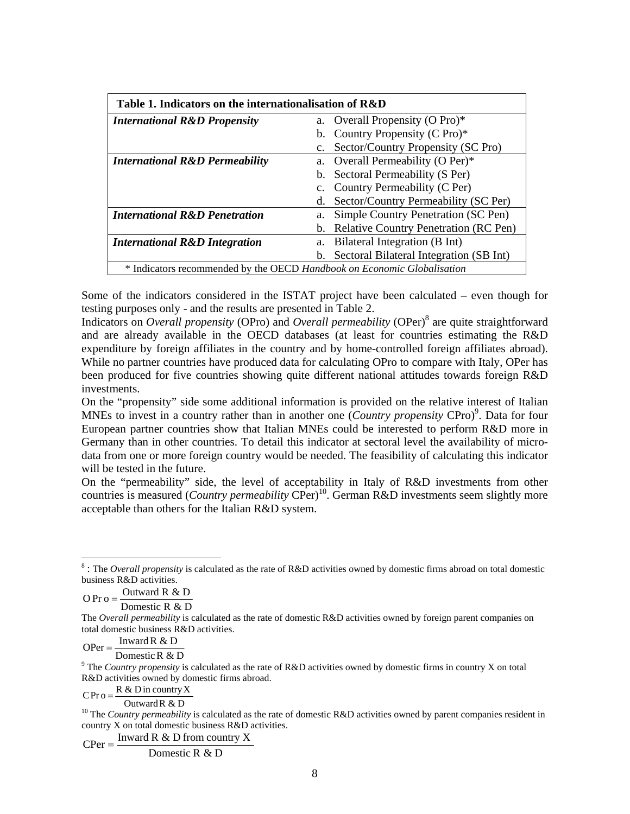| Table 1. Indicators on the internationalisation of R&D                  |                |                                          |  |  |
|-------------------------------------------------------------------------|----------------|------------------------------------------|--|--|
| <b>International R&amp;D Propensity</b>                                 |                | a. Overall Propensity (O Pro)*           |  |  |
|                                                                         |                | b. Country Propensity (C Pro)*           |  |  |
|                                                                         | $\mathbf{c}$ . | Sector/Country Propensity (SC Pro)       |  |  |
| <b>International R&amp;D Permeability</b>                               | a.             | Overall Permeability (O Per)*            |  |  |
|                                                                         |                | b. Sectoral Permeability (S Per)         |  |  |
|                                                                         |                | c. Country Permeability (C Per)          |  |  |
|                                                                         | d.             | Sector/Country Permeability (SC Per)     |  |  |
| <b>International R&amp;D Penetration</b>                                | a.             | Simple Country Penetration (SC Pen)      |  |  |
|                                                                         |                | b. Relative Country Penetration (RC Pen) |  |  |
| <b>International R&amp;D Integration</b>                                | a.             | Bilateral Integration (B Int)            |  |  |
|                                                                         | b.             | Sectoral Bilateral Integration (SB Int)  |  |  |
| * Indicators recommended by the OECD Handbook on Economic Globalisation |                |                                          |  |  |

Some of the indicators considered in the ISTAT project have been calculated – even though for testing purposes only - and the results are presented in Table 2.

Indicators on *Overall propensity* (OPro) and *Overall permeability* (OPer)<sup>8</sup> are quite straightforward and are already available in the OECD databases (at least for countries estimating the R&D expenditure by foreign affiliates in the country and by home-controlled foreign affiliates abroad). While no partner countries have produced data for calculating OPro to compare with Italy, OPer has been produced for five countries showing quite different national attitudes towards foreign R&D investments.

On the "propensity" side some additional information is provided on the relative interest of Italian MNEs to invest in a country rather than in another one (*Country propensity* CPro)<sup>9</sup>. Data for four European partner countries show that Italian MNEs could be interested to perform R&D more in Germany than in other countries. To detail this indicator at sectoral level the availability of microdata from one or more foreign country would be needed. The feasibility of calculating this indicator will be tested in the future.

On the "permeability" side, the level of acceptability in Italy of R&D investments from other countries is measured (*Country permeability* CPer)<sup>10</sup>. German R&D investments seem slightly more acceptable than others for the Italian R&D system.

Domestic R & D O Pr o =  $\frac{\text{Outward R & D}}{\text{Outward R} + \text{Out}}$ 

 $\overline{a}$ 

OPer =  $\frac{\text{Inward R & D}}{\text{O}}$ 

DomesticR & D

<sup>9</sup> The *Country propensity* is calculated as the rate of R&D activities owned by domestic firms in country X on total R&D activities owned by domestic firms abroad.

 $CPr o = \frac{R \& D \text{ in country X}}{P \times P}$ 

OutwardR & D

<sup>10</sup> The *Country permeability* is calculated as the rate of domestic R&D activities owned by parent companies resident in country X on total domestic business R&D activities.

 $CPer = \frac{\text{Inward R} \& \text{D from country X}}{}$ 

Domestic R & D

<sup>&</sup>lt;sup>8</sup>: The *Overall propensity* is calculated as the rate of R&D activities owned by domestic firms abroad on total domestic business R&D activities.

The *Overall permeability* is calculated as the rate of domestic R&D activities owned by foreign parent companies on total domestic business R&D activities.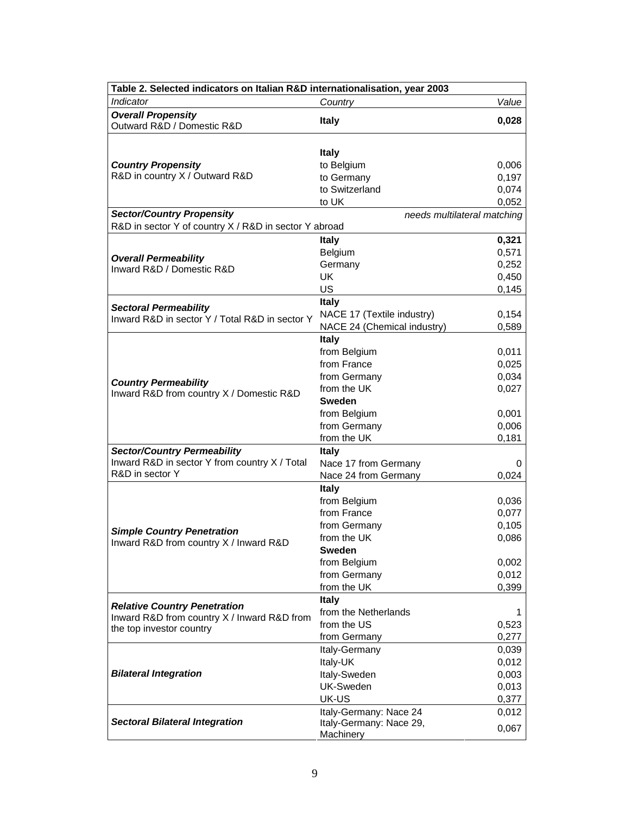| Table 2. Selected indicators on Italian R&D internationalisation, year 2003                                    |                                                                                                                                            |                                                             |  |  |
|----------------------------------------------------------------------------------------------------------------|--------------------------------------------------------------------------------------------------------------------------------------------|-------------------------------------------------------------|--|--|
| Indicator                                                                                                      | Country                                                                                                                                    | Value                                                       |  |  |
| <b>Overall Propensity</b><br>Outward R&D / Domestic R&D                                                        | <b>Italy</b>                                                                                                                               | 0,028                                                       |  |  |
| <b>Country Propensity</b><br>R&D in country X / Outward R&D                                                    | <b>Italy</b><br>to Belgium<br>to Germany<br>to Switzerland<br>to UK                                                                        | 0,006<br>0,197<br>0,074<br>0,052                            |  |  |
| <b>Sector/Country Propensity</b>                                                                               |                                                                                                                                            |                                                             |  |  |
| needs multilateral matching<br>R&D in sector Y of country X / R&D in sector Y abroad                           |                                                                                                                                            |                                                             |  |  |
|                                                                                                                | <b>Italy</b>                                                                                                                               | 0,321                                                       |  |  |
| <b>Overall Permeability</b><br>Inward R&D / Domestic R&D                                                       | Belgium<br>Germany<br><b>UK</b><br>US                                                                                                      | 0,571<br>0,252<br>0,450<br>0,145                            |  |  |
| <b>Sectoral Permeability</b>                                                                                   | <b>Italy</b>                                                                                                                               |                                                             |  |  |
| Inward R&D in sector Y / Total R&D in sector Y                                                                 | NACE 17 (Textile industry)<br>NACE 24 (Chemical industry)                                                                                  | 0,154<br>0,589                                              |  |  |
| <b>Country Permeability</b><br>Inward R&D from country X / Domestic R&D                                        | <b>Italy</b><br>from Belgium<br>from France<br>from Germany<br>from the UK<br><b>Sweden</b><br>from Belgium<br>from Germany<br>from the UK | 0,011<br>0,025<br>0,034<br>0,027<br>0,001<br>0,006<br>0,181 |  |  |
| <b>Sector/Country Permeability</b><br>Inward R&D in sector Y from country X / Total<br>R&D in sector Y         | <b>Italy</b><br>Nace 17 from Germany<br>Nace 24 from Germany                                                                               | 0<br>0,024                                                  |  |  |
| <b>Simple Country Penetration</b><br>Inward R&D from country X / Inward R&D                                    | <b>Italy</b><br>from Belgium<br>from France<br>from Germany<br>from the UK<br><b>Sweden</b><br>from Belgium<br>from Germany<br>from the UK | 0,036<br>0,077<br>0,105<br>0,086<br>0,002<br>0,012<br>0,399 |  |  |
| <b>Relative Country Penetration</b><br>Inward R&D from country X / Inward R&D from<br>the top investor country | <b>Italy</b><br>from the Netherlands<br>from the US<br>from Germany                                                                        | 1<br>0,523<br>0,277                                         |  |  |
| <b>Bilateral Integration</b>                                                                                   | Italy-Germany<br>Italy-UK<br>Italy-Sweden<br><b>UK-Sweden</b><br>UK-US                                                                     | 0,039<br>0,012<br>0,003<br>0,013<br>0,377                   |  |  |
| <b>Sectoral Bilateral Integration</b>                                                                          | Italy-Germany: Nace 24<br>Italy-Germany: Nace 29,<br>Machinery                                                                             | 0,012<br>0,067                                              |  |  |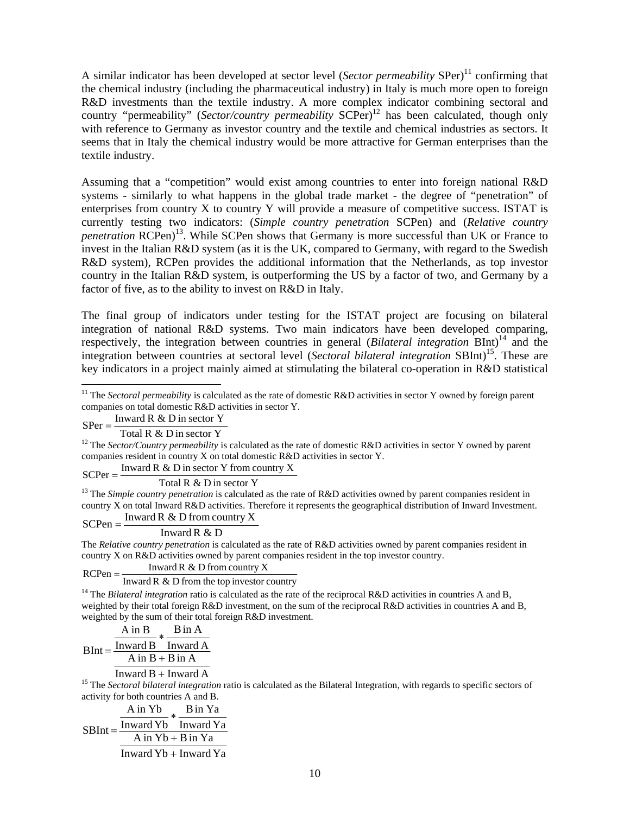A similar indicator has been developed at sector level (*Sector permeability* SPer)<sup>11</sup> confirming that the chemical industry (including the pharmaceutical industry) in Italy is much more open to foreign R&D investments than the textile industry. A more complex indicator combining sectoral and country "permeability" (*Sector/country permeability* SCPer)<sup>12</sup> has been calculated, though only with reference to Germany as investor country and the textile and chemical industries as sectors. It seems that in Italy the chemical industry would be more attractive for German enterprises than the textile industry.

Assuming that a "competition" would exist among countries to enter into foreign national R&D systems - similarly to what happens in the global trade market - the degree of "penetration" of enterprises from country X to country Y will provide a measure of competitive success. ISTAT is currently testing two indicators: (*Simple country penetration* SCPen) and (*Relative country penetration* RCPen<sup>13</sup>. While SCPen shows that Germany is more successful than UK or France to invest in the Italian R&D system (as it is the UK, compared to Germany, with regard to the Swedish R&D system), RCPen provides the additional information that the Netherlands, as top investor country in the Italian R&D system, is outperforming the US by a factor of two, and Germany by a factor of five, as to the ability to invest on R&D in Italy.

The final group of indicators under testing for the ISTAT project are focusing on bilateral integration of national R&D systems. Two main indicators have been developed comparing, respectively, the integration between countries in general (*Bilateral integration* BInt)<sup>14</sup> and the integration between countries at sectoral level (*Sectoral bilateral integration* SBInt)<sup>15</sup>. These are key indicators in a project mainly aimed at stimulating the bilateral co-operation in R&D statistical

 $SPer = \frac{\text{Inward R} \& \text{D in sector Y}}{}$ 

Total R & D in sector Y

<sup>12</sup> The *Sector/Country permeability* is calculated as the rate of domestic R&D activities in sector Y owned by parent companies resident in country X on total domestic R&D activities in sector Y.

 $SCPer = \frac{\text{Inward R} \& D \text{ in sector } Y \text{ from country } X}{}$ 

Total R & D in sector Y

<sup>13</sup> The *Simple country penetration* is calculated as the rate of R&D activities owned by parent companies resident in country X on total Inward R&D activities. Therefore it represents the geographical distribution of Inward Investment.

 $SCPen = \frac{Inward R \& D from country X}{P}$ 

Inward R & D

The *Relative country penetration* is calculated as the rate of R&D activities owned by parent companies resident in country X on R&D activities owned by parent companies resident in the top investor country.

Inward R  $&D$  from country X

 $RCPen = \frac{HW}{m \times d \times d \times e}$  From the top investor country

<sup>14</sup> The *Bilateral integration* ratio is calculated as the rate of the reciprocal R&D activities in countries A and B, weighted by their total foreign R&D investment, on the sum of the reciprocal R&D activities in countries A and B, weighted by the sum of their total foreign R&D investment.

$$
BInt = \frac{\frac{A \text{ in } B}{\text{Inward } B} * \frac{B \text{ in } A}{\text{Inward } A}}{\frac{A \text{ in } B + B \text{ in } A}{\text{Inward } B \text{ in } A}}
$$

 $Inward B + Inward A$ 

<sup>15</sup> The *Sectoral bilateral integration* ratio is calculated as the Bilateral Integration, with regards to specific sectors of activity for both countries A and B.

$$
SBInt = \frac{A in Yb}{\frac{Inward Yb}{A in Yb + B in Ya}} \times \frac{B in Ya}{\frac{Inward Yb + B in Ya}{Inward Yb + Inward Ya}}
$$

 $\overline{a}$ <sup>11</sup> The *Sectoral permeability* is calculated as the rate of domestic R&D activities in sector Y owned by foreign parent companies on total domestic R&D activities in sector Y.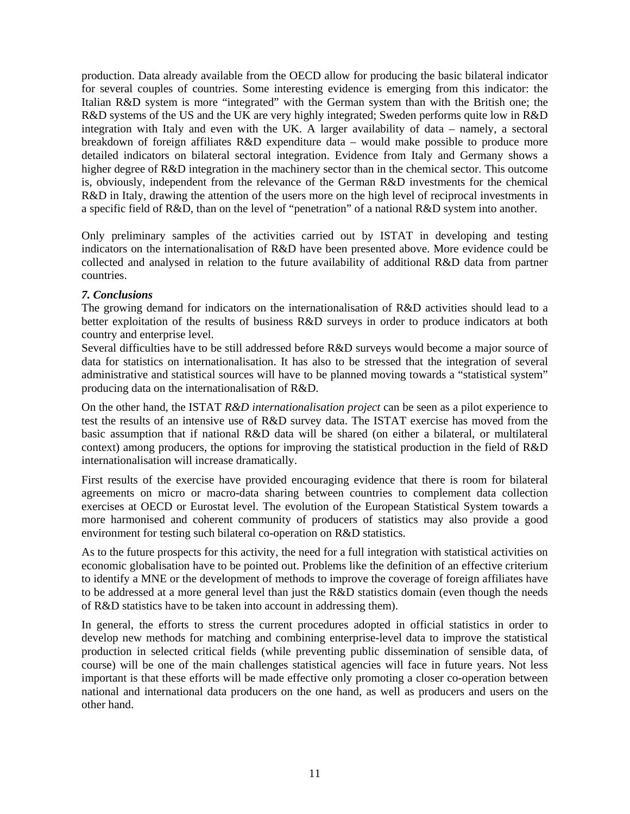production. Data already available from the OECD allow for producing the basic bilateral indicator for several couples of countries. Some interesting evidence is emerging from this indicator: the Italian R&D system is more "integrated" with the German system than with the British one; the R&D systems of the US and the UK are very highly integrated; Sweden performs quite low in R&D integration with Italy and even with the UK. A larger availability of data – namely, a sectoral breakdown of foreign affiliates R&D expenditure data – would make possible to produce more detailed indicators on bilateral sectoral integration. Evidence from Italy and Germany shows a higher degree of R&D integration in the machinery sector than in the chemical sector. This outcome is, obviously, independent from the relevance of the German R&D investments for the chemical R&D in Italy, drawing the attention of the users more on the high level of reciprocal investments in a specific field of R&D, than on the level of "penetration" of a national R&D system into another.

Only preliminary samples of the activities carried out by ISTAT in developing and testing indicators on the internationalisation of R&D have been presented above. More evidence could be collected and analysed in relation to the future availability of additional R&D data from partner countries.

#### *7. Conclusions*

The growing demand for indicators on the internationalisation of R&D activities should lead to a better exploitation of the results of business R&D surveys in order to produce indicators at both country and enterprise level.

Several difficulties have to be still addressed before R&D surveys would become a major source of data for statistics on internationalisation. It has also to be stressed that the integration of several administrative and statistical sources will have to be planned moving towards a "statistical system" producing data on the internationalisation of R&D.

On the other hand, the ISTAT *R&D internationalisation project* can be seen as a pilot experience to test the results of an intensive use of R&D survey data. The ISTAT exercise has moved from the basic assumption that if national R&D data will be shared (on either a bilateral, or multilateral context) among producers, the options for improving the statistical production in the field of R&D internationalisation will increase dramatically.

First results of the exercise have provided encouraging evidence that there is room for bilateral agreements on micro or macro-data sharing between countries to complement data collection exercises at OECD or Eurostat level. The evolution of the European Statistical System towards a more harmonised and coherent community of producers of statistics may also provide a good environment for testing such bilateral co-operation on R&D statistics.

As to the future prospects for this activity, the need for a full integration with statistical activities on economic globalisation have to be pointed out. Problems like the definition of an effective criterium to identify a MNE or the development of methods to improve the coverage of foreign affiliates have to be addressed at a more general level than just the R&D statistics domain (even though the needs of R&D statistics have to be taken into account in addressing them).

In general, the efforts to stress the current procedures adopted in official statistics in order to develop new methods for matching and combining enterprise-level data to improve the statistical production in selected critical fields (while preventing public dissemination of sensible data, of course) will be one of the main challenges statistical agencies will face in future years. Not less important is that these efforts will be made effective only promoting a closer co-operation between national and international data producers on the one hand, as well as producers and users on the other hand.